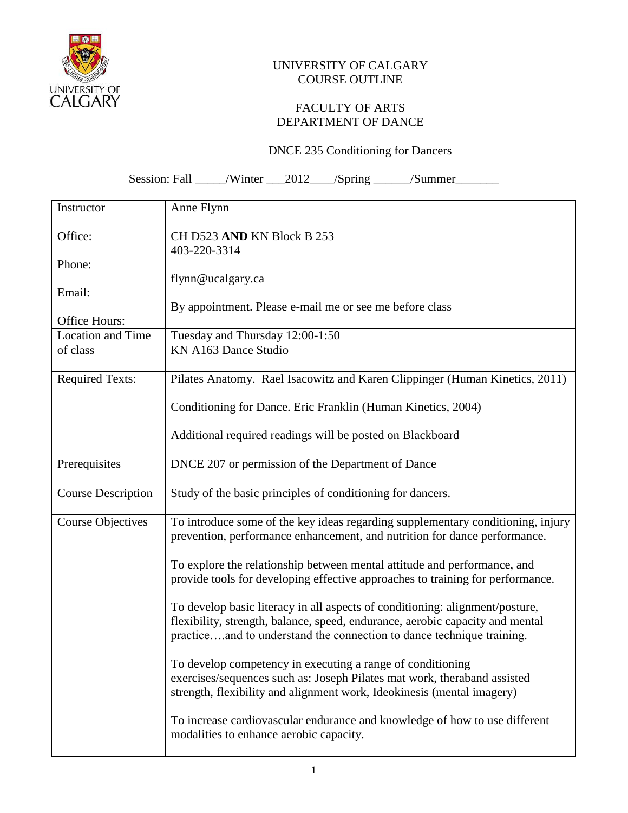

## UNIVERSITY OF CALGARY COURSE OUTLINE

## FACULTY OF ARTS DEPARTMENT OF DANCE

## DNCE 235 Conditioning for Dancers

Session: Fall \_\_\_\_\_/Winter \_\_\_2012\_\_\_\_/Spring \_\_\_\_\_\_/Summer\_\_\_\_\_\_\_\_\_\_\_\_\_\_\_\_\_\_\_\_\_\_

| Instructor                           | Anne Flynn                                                                                                                                                                                                                             |
|--------------------------------------|----------------------------------------------------------------------------------------------------------------------------------------------------------------------------------------------------------------------------------------|
| Office:                              | CH D523 AND KN Block B 253<br>403-220-3314                                                                                                                                                                                             |
| Phone:                               |                                                                                                                                                                                                                                        |
|                                      | flynn@ucalgary.ca                                                                                                                                                                                                                      |
| Email:                               |                                                                                                                                                                                                                                        |
|                                      | By appointment. Please e-mail me or see me before class                                                                                                                                                                                |
| Office Hours:                        |                                                                                                                                                                                                                                        |
| <b>Location and Time</b><br>of class | Tuesday and Thursday 12:00-1:50<br>KN A163 Dance Studio                                                                                                                                                                                |
|                                      |                                                                                                                                                                                                                                        |
| <b>Required Texts:</b>               | Pilates Anatomy. Rael Isacowitz and Karen Clippinger (Human Kinetics, 2011)                                                                                                                                                            |
|                                      | Conditioning for Dance. Eric Franklin (Human Kinetics, 2004)                                                                                                                                                                           |
|                                      | Additional required readings will be posted on Blackboard                                                                                                                                                                              |
| Prerequisites                        | DNCE 207 or permission of the Department of Dance                                                                                                                                                                                      |
| <b>Course Description</b>            | Study of the basic principles of conditioning for dancers.                                                                                                                                                                             |
| <b>Course Objectives</b>             | To introduce some of the key ideas regarding supplementary conditioning, injury<br>prevention, performance enhancement, and nutrition for dance performance.                                                                           |
|                                      | To explore the relationship between mental attitude and performance, and<br>provide tools for developing effective approaches to training for performance.                                                                             |
|                                      | To develop basic literacy in all aspects of conditioning: alignment/posture,<br>flexibility, strength, balance, speed, endurance, aerobic capacity and mental<br>practiceand to understand the connection to dance technique training. |
|                                      | To develop competency in executing a range of conditioning<br>exercises/sequences such as: Joseph Pilates mat work, theraband assisted<br>strength, flexibility and alignment work, Ideokinesis (mental imagery)                       |
|                                      | To increase cardiovascular endurance and knowledge of how to use different<br>modalities to enhance aerobic capacity.                                                                                                                  |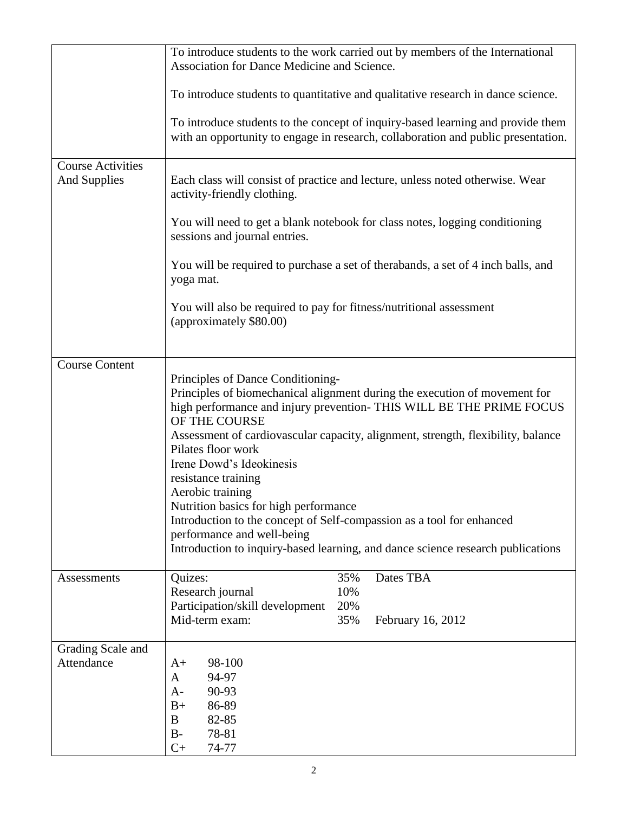| <b>Course Activities</b><br><b>And Supplies</b> | To introduce students to the work carried out by members of the International<br>Association for Dance Medicine and Science.<br>To introduce students to quantitative and qualitative research in dance science.<br>To introduce students to the concept of inquiry-based learning and provide them<br>with an opportunity to engage in research, collaboration and public presentation.<br>Each class will consist of practice and lecture, unless noted otherwise. Wear<br>activity-friendly clothing.                                                                                                                     |
|-------------------------------------------------|------------------------------------------------------------------------------------------------------------------------------------------------------------------------------------------------------------------------------------------------------------------------------------------------------------------------------------------------------------------------------------------------------------------------------------------------------------------------------------------------------------------------------------------------------------------------------------------------------------------------------|
|                                                 | You will need to get a blank notebook for class notes, logging conditioning<br>sessions and journal entries.                                                                                                                                                                                                                                                                                                                                                                                                                                                                                                                 |
|                                                 | You will be required to purchase a set of therabands, a set of 4 inch balls, and<br>yoga mat.                                                                                                                                                                                                                                                                                                                                                                                                                                                                                                                                |
|                                                 | You will also be required to pay for fitness/nutritional assessment<br>(approximately \$80.00)                                                                                                                                                                                                                                                                                                                                                                                                                                                                                                                               |
| <b>Course Content</b>                           | Principles of Dance Conditioning-<br>Principles of biomechanical alignment during the execution of movement for<br>high performance and injury prevention- THIS WILL BE THE PRIME FOCUS<br>OF THE COURSE<br>Assessment of cardiovascular capacity, alignment, strength, flexibility, balance<br>Pilates floor work<br>Irene Dowd's Ideokinesis<br>resistance training<br>Aerobic training<br>Nutrition basics for high performance<br>Introduction to the concept of Self-compassion as a tool for enhanced<br>performance and well-being<br>Introduction to inquiry-based learning, and dance science research publications |
| Assessments                                     | 35%<br>Dates TBA<br>Quizes:<br>10%<br>Research journal<br>Participation/skill development<br>20%<br>Mid-term exam:<br>35%<br>February 16, 2012                                                                                                                                                                                                                                                                                                                                                                                                                                                                               |
| Grading Scale and<br>Attendance                 | 98-100<br>$A+$<br>94-97<br>A<br>90-93<br>$A-$<br>86-89<br>$B+$<br>82-85<br>B<br>78-81<br>$B-$<br>$C+$<br>74-77                                                                                                                                                                                                                                                                                                                                                                                                                                                                                                               |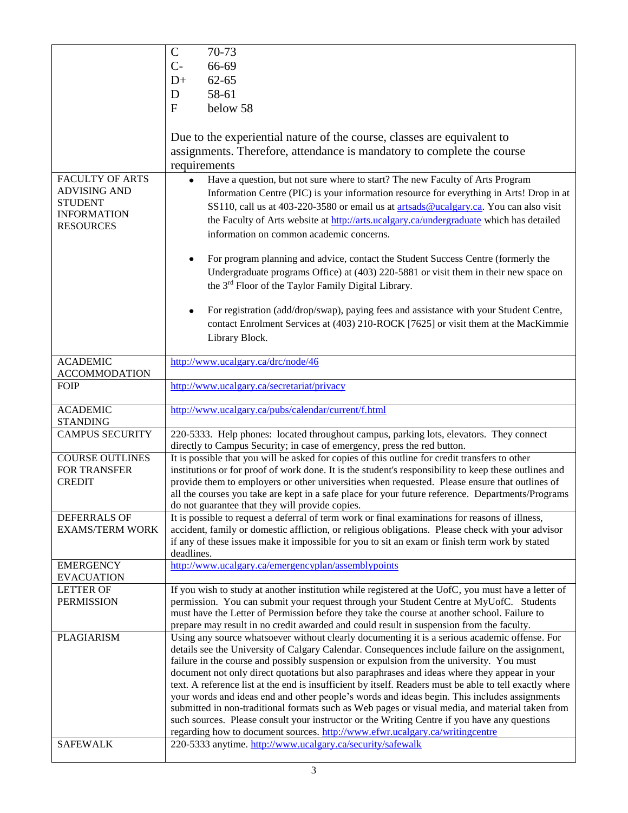|                        | $\mathcal{C}$<br>70-73                                                                                                                     |
|------------------------|--------------------------------------------------------------------------------------------------------------------------------------------|
|                        | 66-69<br>$C-$                                                                                                                              |
|                        | $62 - 65$                                                                                                                                  |
|                        | $D+$                                                                                                                                       |
|                        | 58-61<br>D                                                                                                                                 |
|                        | below 58<br>F                                                                                                                              |
|                        |                                                                                                                                            |
|                        | Due to the experiential nature of the course, classes are equivalent to                                                                    |
|                        | assignments. Therefore, attendance is mandatory to complete the course                                                                     |
|                        | requirements                                                                                                                               |
| <b>FACULTY OF ARTS</b> |                                                                                                                                            |
| <b>ADVISING AND</b>    | Have a question, but not sure where to start? The new Faculty of Arts Program                                                              |
| <b>STUDENT</b>         | Information Centre (PIC) is your information resource for everything in Arts! Drop in at                                                   |
| <b>INFORMATION</b>     | SS110, call us at 403-220-3580 or email us at artsads@ucalgary.ca. You can also visit                                                      |
| <b>RESOURCES</b>       | the Faculty of Arts website at http://arts.ucalgary.ca/undergraduate which has detailed                                                    |
|                        | information on common academic concerns.                                                                                                   |
|                        |                                                                                                                                            |
|                        | For program planning and advice, contact the Student Success Centre (formerly the                                                          |
|                        | Undergraduate programs Office) at (403) 220-5881 or visit them in their new space on                                                       |
|                        | the 3 <sup>rd</sup> Floor of the Taylor Family Digital Library.                                                                            |
|                        |                                                                                                                                            |
|                        | For registration (add/drop/swap), paying fees and assistance with your Student Centre,                                                     |
|                        | contact Enrolment Services at (403) 210-ROCK [7625] or visit them at the MacKimmie                                                         |
|                        | Library Block.                                                                                                                             |
|                        |                                                                                                                                            |
| <b>ACADEMIC</b>        | http://www.ucalgary.ca/drc/node/46                                                                                                         |
| <b>ACCOMMODATION</b>   |                                                                                                                                            |
| <b>FOIP</b>            | http://www.ucalgary.ca/secretariat/privacy                                                                                                 |
|                        |                                                                                                                                            |
|                        |                                                                                                                                            |
| <b>ACADEMIC</b>        | http://www.ucalgary.ca/pubs/calendar/current/f.html                                                                                        |
| <b>STANDING</b>        |                                                                                                                                            |
| <b>CAMPUS SECURITY</b> | 220-5333. Help phones: located throughout campus, parking lots, elevators. They connect                                                    |
|                        | directly to Campus Security; in case of emergency, press the red button.                                                                   |
| <b>COURSE OUTLINES</b> | It is possible that you will be asked for copies of this outline for credit transfers to other                                             |
| FOR TRANSFER           | institutions or for proof of work done. It is the student's responsibility to keep these outlines and                                      |
| <b>CREDIT</b>          | provide them to employers or other universities when requested. Please ensure that outlines of                                             |
|                        | all the courses you take are kept in a safe place for your future reference. Departments/Programs                                          |
|                        | do not guarantee that they will provide copies.                                                                                            |
| DEFERRALS OF           | It is possible to request a deferral of term work or final examinations for reasons of illness,                                            |
| <b>EXAMS/TERM WORK</b> | accident, family or domestic affliction, or religious obligations. Please check with your advisor                                          |
|                        | if any of these issues make it impossible for you to sit an exam or finish term work by stated<br>deadlines.                               |
| <b>EMERGENCY</b>       | http://www.ucalgary.ca/emergencyplan/assemblypoints                                                                                        |
| <b>EVACUATION</b>      |                                                                                                                                            |
| <b>LETTER OF</b>       | If you wish to study at another institution while registered at the UofC, you must have a letter of                                        |
| <b>PERMISSION</b>      | permission. You can submit your request through your Student Centre at MyUofC. Students                                                    |
|                        | must have the Letter of Permission before they take the course at another school. Failure to                                               |
|                        | prepare may result in no credit awarded and could result in suspension from the faculty.                                                   |
| <b>PLAGIARISM</b>      | Using any source whatsoever without clearly documenting it is a serious academic offense. For                                              |
|                        | details see the University of Calgary Calendar. Consequences include failure on the assignment,                                            |
|                        | failure in the course and possibly suspension or expulsion from the university. You must                                                   |
|                        | document not only direct quotations but also paraphrases and ideas where they appear in your                                               |
|                        | text. A reference list at the end is insufficient by itself. Readers must be able to tell exactly where                                    |
|                        | your words and ideas end and other people's words and ideas begin. This includes assignments                                               |
|                        | submitted in non-traditional formats such as Web pages or visual media, and material taken from                                            |
|                        | such sources. Please consult your instructor or the Writing Centre if you have any questions                                               |
| <b>SAFEWALK</b>        | regarding how to document sources. http://www.efwr.ucalgary.ca/writingcentre<br>220-5333 anytime. http://www.ucalgary.ca/security/safewalk |